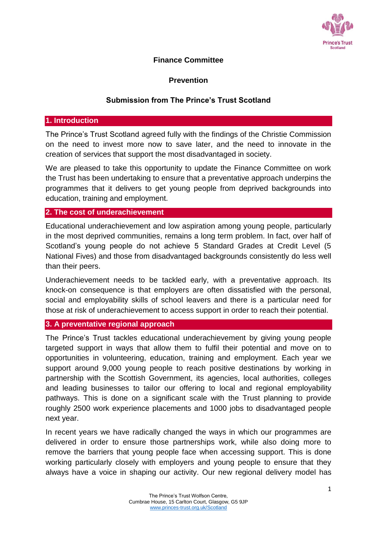

# **Finance Committee**

# **Prevention**

### **Submission from The Prince's Trust Scotland**

#### **1. Introduction**

The Prince's Trust Scotland agreed fully with the findings of the Christie Commission on the need to invest more now to save later, and the need to innovate in the creation of services that support the most disadvantaged in society.

We are pleased to take this opportunity to update the Finance Committee on work the Trust has been undertaking to ensure that a preventative approach underpins the programmes that it delivers to get young people from deprived backgrounds into education, training and employment.

### **2. The cost of underachievement**

Educational underachievement and low aspiration among young people, particularly in the most deprived communities, remains a long term problem. In fact, over half of Scotland's young people do not achieve 5 Standard Grades at Credit Level (5 National Fives) and those from disadvantaged backgrounds consistently do less well than their peers.

Underachievement needs to be tackled early, with a preventative approach. Its knock-on consequence is that employers are often dissatisfied with the personal, social and employability skills of school leavers and there is a particular need for those at risk of underachievement to access support in order to reach their potential.

### **3. A preventative regional approach**

The Prince's Trust tackles educational underachievement by giving young people targeted support in ways that allow them to fulfil their potential and move on to opportunities in volunteering, education, training and employment. Each year we support around 9,000 young people to reach positive destinations by working in partnership with the Scottish Government, its agencies, local authorities, colleges and leading businesses to tailor our offering to local and regional employability pathways. This is done on a significant scale with the Trust planning to provide roughly 2500 work experience placements and 1000 jobs to disadvantaged people next year.

In recent years we have radically changed the ways in which our programmes are delivered in order to ensure those partnerships work, while also doing more to remove the barriers that young people face when accessing support. This is done working particularly closely with employers and young people to ensure that they always have a voice in shaping our activity. Our new regional delivery model has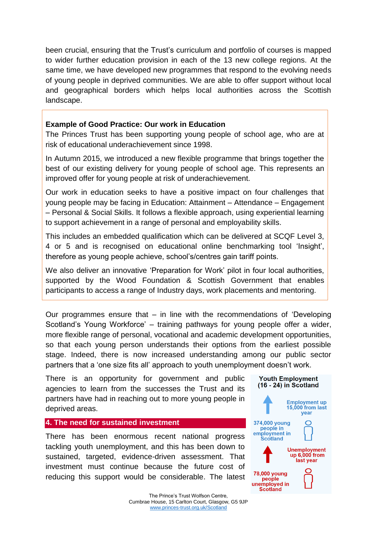been crucial, ensuring that the Trust's curriculum and portfolio of courses is mapped to wider further education provision in each of the 13 new college regions. At the same time, we have developed new programmes that respond to the evolving needs of young people in deprived communities. We are able to offer support without local and geographical borders which helps local authorities across the Scottish landscape.

# **Example of Good Practice: Our work in Education**

The Princes Trust has been supporting young people of school age, who are at risk of educational underachievement since 1998.

In Autumn 2015, we introduced a new flexible programme that brings together the best of our existing delivery for young people of school age. This represents an improved offer for young people at risk of underachievement.

Our work in education seeks to have a positive impact on four challenges that young people may be facing in Education: Attainment – Attendance – Engagement – Personal & Social Skills. It follows a flexible approach, using experiential learning to support achievement in a range of personal and employability skills.

This includes an embedded qualification which can be delivered at SCQF Level 3, 4 or 5 and is recognised on educational online benchmarking tool 'Insight', therefore as young people achieve, school's/centres gain tariff points.

We also deliver an innovative 'Preparation for Work' pilot in four local authorities, supported by the Wood Foundation & Scottish Government that enables participants to access a range of Industry days, work placements and mentoring.

Our programmes ensure that – in line with the recommendations of 'Developing Scotland's Young Workforce' – training pathways for young people offer a wider, more flexible range of personal, vocational and academic development opportunities, so that each young person understands their options from the earliest possible stage. Indeed, there is now increased understanding among our public sector partners that a 'one size fits all' approach to youth unemployment doesn't work.

There is an opportunity for government and public agencies to learn from the successes the Trust and its partners have had in reaching out to more young people in deprived areas.

### **4. The need for sustained investment**

There has been enormous recent national progress tackling youth unemployment, and this has been down to sustained, targeted, evidence-driven assessment. That investment must continue because the future cost of reducing this support would be considerable. The latest

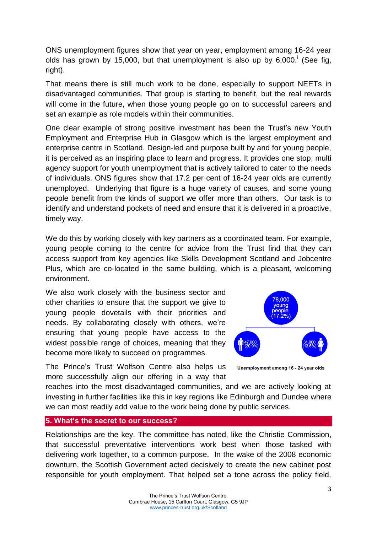ONS unemployment figures show that year on year, employment among 16-24 year olds has grown by 15,000, but that unemployment is also up by  $6,000$ .<sup>i</sup> (See fig, right).

That means there is still much work to be done, especially to support NEETs in disadvantaged communities. That group is starting to benefit, but the real rewards will come in the future, when those young people go on to successful careers and set an example as role models within their communities.

One clear example of strong positive investment has been the Trust's new Youth Employment and Enterprise Hub in Glasgow which is the largest employment and enterprise centre in Scotland. Design-led and purpose built by and for young people, it is perceived as an inspiring place to learn and progress. It provides one stop, multi agency support for youth unemployment that is actively tailored to cater to the needs of individuals. ONS figures show that 17.2 per cent of 16-24 year olds are currently unemployed. Underlying that figure is a huge variety of causes, and some young people benefit from the kinds of support we offer more than others. Our task is to identify and understand pockets of need and ensure that it is delivered in a proactive, timely way.

We do this by working closely with key partners as a coordinated team. For example, young people coming to the centre for advice from the Trust find that they can access support from key agencies like Skills Development Scotland and Jobcentre Plus, which are co-located in the same building, which is a pleasant, welcoming environment.

We also work closely with the business sector and other charities to ensure that the support we give to young people dovetails with their priorities and needs. By collaborating closely with others, we're ensuring that young people have access to the widest possible range of choices, meaning that they become more likely to succeed on programmes.



The Prince's Trust Wolfson Centre also helps us more successfully align our offering in a way that

Unemployment among 16 - 24 year olds

reaches into the most disadvantaged communities, and we are actively looking at investing in further facilities like this in key regions like Edinburgh and Dundee where we can most readily add value to the work being done by public services.

#### **5. What's the secret to our success?**

Relationships are the key. The committee has noted, like the Christie Commission, that successful preventative interventions work best when those tasked with delivering work together, to a common purpose. In the wake of the 2008 economic downturn, the Scottish Government acted decisively to create the new cabinet post responsible for youth employment. That helped set a tone across the policy field,